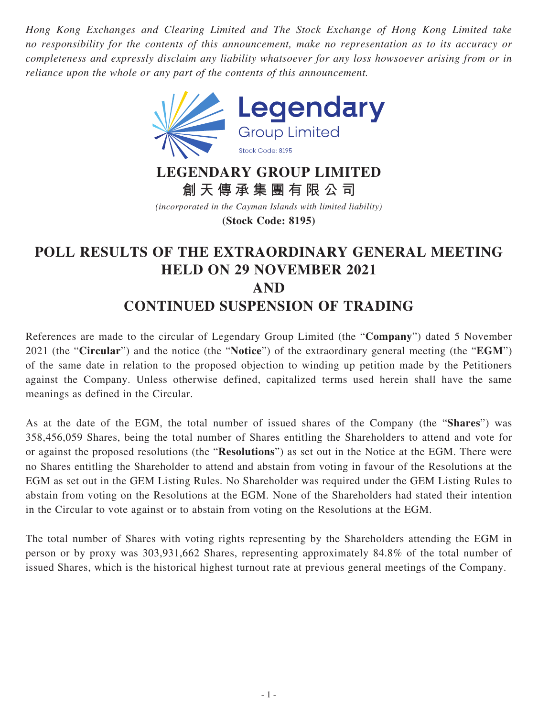*Hong Kong Exchanges and Clearing Limited and The Stock Exchange of Hong Kong Limited take no responsibility for the contents of this announcement, make no representation as to its accuracy or completeness and expressly disclaim any liability whatsoever for any loss howsoever arising from or in reliance upon the whole or any part of the contents of this announcement.*



**LEGENDARY GROUP LIMITED 創天傳承集團有限公司**

*(incorporated in the Cayman Islands with limited liability)* **(Stock Code: 8195)**

## **POLL RESULTS OF THE EXTRAORDINARY GENERAL MEETING HELD ON 29 NOVEMBER 2021 AND CONTINUED SUSPENSION OF TRADING**

References are made to the circular of Legendary Group Limited (the "**Company**") dated 5 November 2021 (the "**Circular**") and the notice (the "**Notice**") of the extraordinary general meeting (the "**EGM**") of the same date in relation to the proposed objection to winding up petition made by the Petitioners against the Company. Unless otherwise defined, capitalized terms used herein shall have the same meanings as defined in the Circular.

As at the date of the EGM, the total number of issued shares of the Company (the "**Shares**") was 358,456,059 Shares, being the total number of Shares entitling the Shareholders to attend and vote for or against the proposed resolutions (the "**Resolutions**") as set out in the Notice at the EGM. There were no Shares entitling the Shareholder to attend and abstain from voting in favour of the Resolutions at the EGM as set out in the GEM Listing Rules. No Shareholder was required under the GEM Listing Rules to abstain from voting on the Resolutions at the EGM. None of the Shareholders had stated their intention in the Circular to vote against or to abstain from voting on the Resolutions at the EGM.

The total number of Shares with voting rights representing by the Shareholders attending the EGM in person or by proxy was 303,931,662 Shares, representing approximately 84.8% of the total number of issued Shares, which is the historical highest turnout rate at previous general meetings of the Company.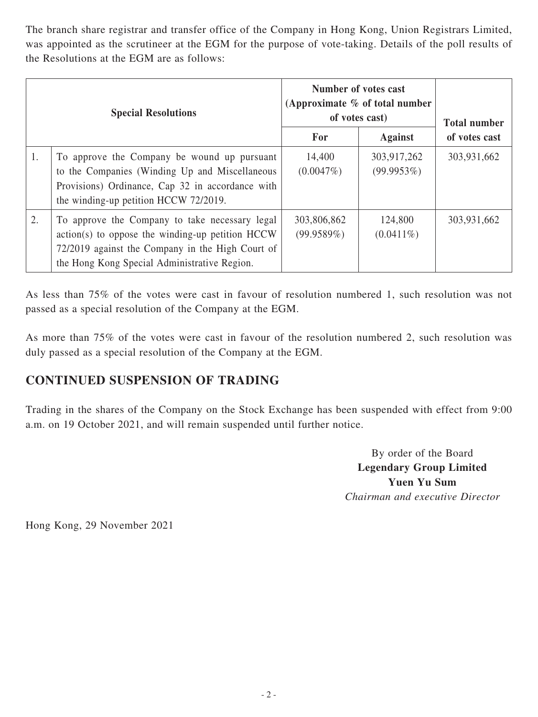The branch share registrar and transfer office of the Company in Hong Kong, Union Registrars Limited, was appointed as the scrutineer at the EGM for the purpose of vote-taking. Details of the poll results of the Resolutions at the EGM are as follows:

| <b>Special Resolutions</b> |                                                                                                                                                                                                          | Number of votes cast<br>(Approximate $%$ of total number<br>of votes cast) |                           | <b>Total number</b> |
|----------------------------|----------------------------------------------------------------------------------------------------------------------------------------------------------------------------------------------------------|----------------------------------------------------------------------------|---------------------------|---------------------|
|                            |                                                                                                                                                                                                          | For                                                                        | <b>Against</b>            | of votes cast       |
| 1.                         | To approve the Company be wound up pursuant<br>to the Companies (Winding Up and Miscellaneous<br>Provisions) Ordinance, Cap 32 in accordance with<br>the winding-up petition HCCW 72/2019.               | 14,400<br>(0.0047%)                                                        | 303,917,262<br>(99.9953%) | 303,931,662         |
| 2.                         | To approve the Company to take necessary legal<br>$action(s)$ to oppose the winding-up petition HCCW<br>72/2019 against the Company in the High Court of<br>the Hong Kong Special Administrative Region. | 303,806,862<br>(99.9589%)                                                  | 124,800<br>$(0.0411\%)$   | 303,931,662         |

As less than 75% of the votes were cast in favour of resolution numbered 1, such resolution was not passed as a special resolution of the Company at the EGM.

As more than 75% of the votes were cast in favour of the resolution numbered 2, such resolution was duly passed as a special resolution of the Company at the EGM.

## **CONTINUED SUSPENSION OF TRADING**

Trading in the shares of the Company on the Stock Exchange has been suspended with effect from 9:00 a.m. on 19 October 2021, and will remain suspended until further notice.

> By order of the Board **Legendary Group Limited Yuen Yu Sum** *Chairman and executive Director*

Hong Kong, 29 November 2021